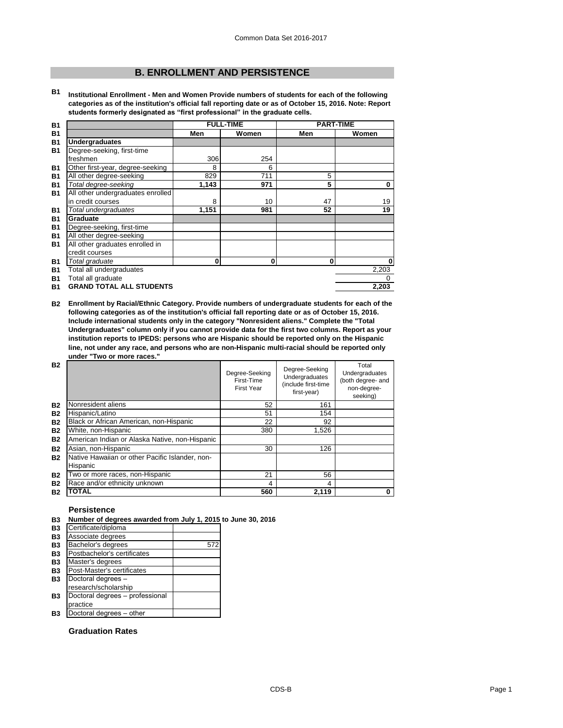# **B. ENROLLMENT AND PERSISTENCE**

**B1 Institutional Enrollment - Men and Women Provide numbers of students for each of the following categories as of the institution's official fall reporting date or as of October 15, 2016. Note: Report students formerly designated as "first professional" in the graduate cells.**

| <b>B1</b> |                                   |       | <b>FULL-TIME</b> |     | <b>PART-TIME</b> |
|-----------|-----------------------------------|-------|------------------|-----|------------------|
| <b>B1</b> |                                   | Men   | Women            | Men | Women            |
| <b>B1</b> | <b>Undergraduates</b>             |       |                  |     |                  |
| <b>B1</b> | Degree-seeking, first-time        |       |                  |     |                  |
|           | freshmen                          | 306   | 254              |     |                  |
| <b>B1</b> | Other first-year, degree-seeking  | 8     | 6                |     |                  |
| <b>B1</b> | All other degree-seeking          | 829   | 711              | 5   |                  |
| <b>B1</b> | Total degree-seeking              | 1,143 | 971              | 5   | 0                |
| <b>B1</b> | All other undergraduates enrolled |       |                  |     |                  |
|           | in credit courses                 | 8     | 10               | 47  | 19               |
| <b>B1</b> | Total undergraduates              | 1,151 | 981              | 52  | 19               |
| <b>B1</b> | Graduate                          |       |                  |     |                  |
| <b>B1</b> | Degree-seeking, first-time        |       |                  |     |                  |
| <b>B1</b> | All other degree-seeking          |       |                  |     |                  |
| <b>B1</b> | All other graduates enrolled in   |       |                  |     |                  |
|           | credit courses                    |       |                  |     |                  |
| <b>B1</b> | Total graduate                    | 0     | 0                | 0   | 0                |
| <b>B1</b> | Total all undergraduates          |       |                  |     | 2,203            |
| <b>B1</b> | Total all graduate                |       |                  |     | 0                |
| <b>B1</b> | <b>GRAND TOTAL ALL STUDENTS</b>   |       |                  |     | 2,203            |

**B2 Enrollment by Racial/Ethnic Category. Provide numbers of undergraduate students for each of the following categories as of the institution's official fall reporting date or as of October 15, 2016. Include international students only in the category "Nonresident aliens." Complete the "Total Undergraduates" column only if you cannot provide data for the first two columns. Report as your institution reports to IPEDS: persons who are Hispanic should be reported only on the Hispanic line, not under any race, and persons who are non-Hispanic multi-racial should be reported only under "Two or more races."** 

| <b>B2</b> |                                                 | Degree-Seeking<br>First-Time<br><b>First Year</b> | Degree-Seeking<br><b>Undergraduates</b><br>(include first-time<br>first-year) | Total<br>Undergraduates<br>(both degree- and<br>non-degree-<br>seeking) |
|-----------|-------------------------------------------------|---------------------------------------------------|-------------------------------------------------------------------------------|-------------------------------------------------------------------------|
| <b>B2</b> | Nonresident aliens                              | 52                                                | 161                                                                           |                                                                         |
| <b>B2</b> | Hispanic/Latino                                 | 51                                                | 154                                                                           |                                                                         |
| <b>B2</b> | Black or African American, non-Hispanic         | 22                                                | 92                                                                            |                                                                         |
| <b>B2</b> | White, non-Hispanic                             | 380                                               | 1,526                                                                         |                                                                         |
| <b>B2</b> | American Indian or Alaska Native, non-Hispanic  |                                                   |                                                                               |                                                                         |
| <b>B2</b> | Asian, non-Hispanic                             | 30                                                | 126                                                                           |                                                                         |
| <b>B2</b> | Native Hawaiian or other Pacific Islander, non- |                                                   |                                                                               |                                                                         |
|           | Hispanic                                        |                                                   |                                                                               |                                                                         |
| <b>B2</b> | Two or more races, non-Hispanic                 | 21                                                | 56                                                                            |                                                                         |
| <b>B2</b> | Race and/or ethnicity unknown                   | 4                                                 | 4                                                                             |                                                                         |
| <b>B2</b> | <b>TOTAL</b>                                    | 560                                               | 2.119                                                                         | 0                                                                       |

## **Persistence**

#### **B3 Number of degrees awarded from July 1, 2015 to June 30, 2016**

| <b>B3</b> | Certificate/diploma             |     |
|-----------|---------------------------------|-----|
| <b>B3</b> | Associate degrees               |     |
| <b>B3</b> | Bachelor's degrees              | 572 |
| <b>B3</b> | Postbachelor's certificates     |     |
| <b>B3</b> | Master's degrees                |     |
| <b>B3</b> | Post-Master's certificates      |     |
| <b>B3</b> | Doctoral degrees -              |     |
|           | research/scholarship            |     |
| <b>B3</b> | Doctoral degrees - professional |     |
|           | practice                        |     |
| <b>B3</b> | Doctoral degrees - other        |     |

## **Graduation Rates**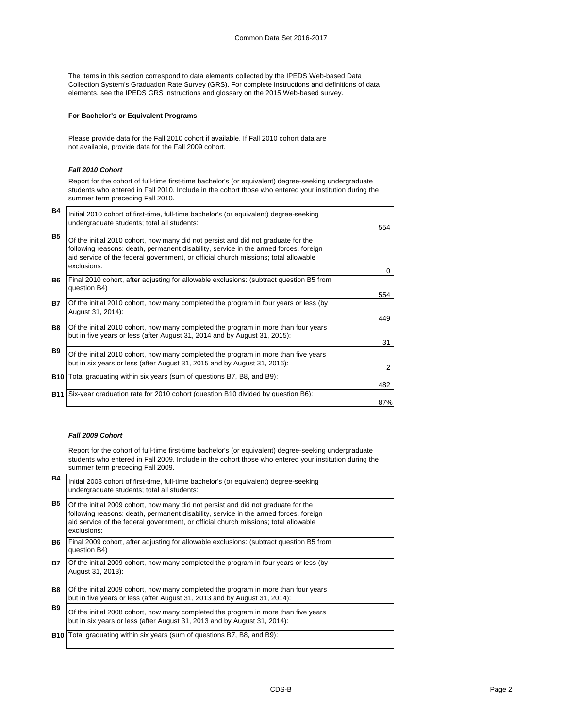The items in this section correspond to data elements collected by the IPEDS Web-based Data Collection System's Graduation Rate Survey (GRS). For complete instructions and definitions of data elements, see the IPEDS GRS instructions and glossary on the 2015 Web-based survey.

## **For Bachelor's or Equivalent Programs**

Please provide data for the Fall 2010 cohort if available. If Fall 2010 cohort data are not available, provide data for the Fall 2009 cohort.

### *Fall 2010 Cohort*

Report for the cohort of full-time first-time bachelor's (or equivalent) degree-seeking undergraduate students who entered in Fall 2010. Include in the cohort those who entered your institution during the summer term preceding Fall 2010.

| <b>B4</b>  | Initial 2010 cohort of first-time, full-time bachelor's (or equivalent) degree-seeking                                                                                                                                                                                          |            |
|------------|---------------------------------------------------------------------------------------------------------------------------------------------------------------------------------------------------------------------------------------------------------------------------------|------------|
|            | undergraduate students; total all students:                                                                                                                                                                                                                                     | 554        |
| <b>B5</b>  | Of the initial 2010 cohort, how many did not persist and did not graduate for the<br>following reasons: death, permanent disability, service in the armed forces, foreign<br>aid service of the federal government, or official church missions; total allowable<br>exclusions: | $\Omega$   |
| <b>B6</b>  | Final 2010 cohort, after adjusting for allowable exclusions: (subtract question B5 from<br>question B4)                                                                                                                                                                         |            |
| <b>B7</b>  | Of the initial 2010 cohort, how many completed the program in four years or less (by<br>August 31, 2014):                                                                                                                                                                       | 554<br>449 |
| <b>B8</b>  | Of the initial 2010 cohort, how many completed the program in more than four years<br>but in five years or less (after August 31, 2014 and by August 31, 2015):                                                                                                                 | 31         |
| <b>B</b> 9 | Of the initial 2010 cohort, how many completed the program in more than five years<br>but in six years or less (after August 31, 2015 and by August 31, 2016):                                                                                                                  | 2          |
|            | <b>B10</b> Total graduating within six years (sum of questions B7, B8, and B9):                                                                                                                                                                                                 | 482        |
| <b>B11</b> | Six-year graduation rate for 2010 cohort (question B10 divided by question B6):                                                                                                                                                                                                 | 87%        |

## *Fall 2009 Cohort*

Report for the cohort of full-time first-time bachelor's (or equivalent) degree-seeking undergraduate students who entered in Fall 2009. Include in the cohort those who entered your institution during the summer term preceding Fall 2009.

| <b>B4</b>  | Initial 2008 cohort of first-time, full-time bachelor's (or equivalent) degree-seeking<br>undergraduate students; total all students:                                                                                                                                           |  |
|------------|---------------------------------------------------------------------------------------------------------------------------------------------------------------------------------------------------------------------------------------------------------------------------------|--|
| <b>B5</b>  | Of the initial 2009 cohort, how many did not persist and did not graduate for the<br>following reasons: death, permanent disability, service in the armed forces, foreign<br>aid service of the federal government, or official church missions; total allowable<br>exclusions: |  |
| <b>B6</b>  | Final 2009 cohort, after adjusting for allowable exclusions: (subtract question B5 from<br>question B4)                                                                                                                                                                         |  |
| <b>B7</b>  | Of the initial 2009 cohort, how many completed the program in four years or less (by<br>August 31, 2013):                                                                                                                                                                       |  |
| <b>B8</b>  | Of the initial 2009 cohort, how many completed the program in more than four years<br>but in five years or less (after August 31, 2013 and by August 31, 2014):                                                                                                                 |  |
| <b>B</b> 9 | Of the initial 2008 cohort, how many completed the program in more than five years<br>but in six years or less (after August 31, 2013 and by August 31, 2014):                                                                                                                  |  |
|            | <b>B10</b> Total graduating within six years (sum of questions B7, B8, and B9):                                                                                                                                                                                                 |  |